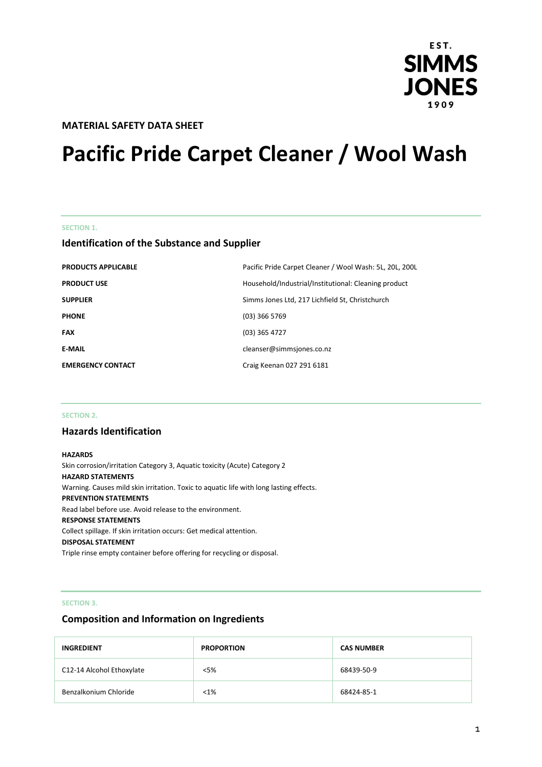

## **MATERIAL SAFETY DATA SHEET**

# **Pacific Pride Carpet Cleaner / Wool Wash**

#### **SECTION 1.**

## **Identification of the Substance and Supplier**

| <b>PRODUCTS APPLICABLE</b> | Pacific Pride Carpet Cleaner / Wool Wash: 5L, 20L, 200L |
|----------------------------|---------------------------------------------------------|
| <b>PRODUCT USE</b>         | Household/Industrial/Institutional: Cleaning product    |
| <b>SUPPLIER</b>            | Simms Jones Ltd, 217 Lichfield St, Christchurch         |
| <b>PHONE</b>               | $(03)$ 366 5769                                         |
| <b>FAX</b>                 | $(03)$ 365 4727                                         |
| <b>E-MAIL</b>              | cleanser@simmsjones.co.nz                               |
| <b>EMERGENCY CONTACT</b>   | Craig Keenan 027 291 6181                               |

#### **SECTION 2.**

## **Hazards Identification**

#### **HAZARDS**

Skin corrosion/irritation Category 3, Aquatic toxicity (Acute) Category 2 **HAZARD STATEMENTS** Warning. Causes mild skin irritation. Toxic to aquatic life with long lasting effects. **PREVENTION STATEMENTS** Read label before use. Avoid release to the environment. **RESPONSE STATEMENTS** Collect spillage. If skin irritation occurs: Get medical attention. **DISPOSAL STATEMENT** Triple rinse empty container before offering for recycling or disposal.

#### **SECTION 3.**

## **Composition and Information on Ingredients**

| <b>INGREDIENT</b>         | <b>PROPORTION</b> | <b>CAS NUMBER</b> |
|---------------------------|-------------------|-------------------|
| C12-14 Alcohol Ethoxylate | $<$ 5%            | 68439-50-9        |
| Benzalkonium Chloride     | $< 1\%$           | 68424-85-1        |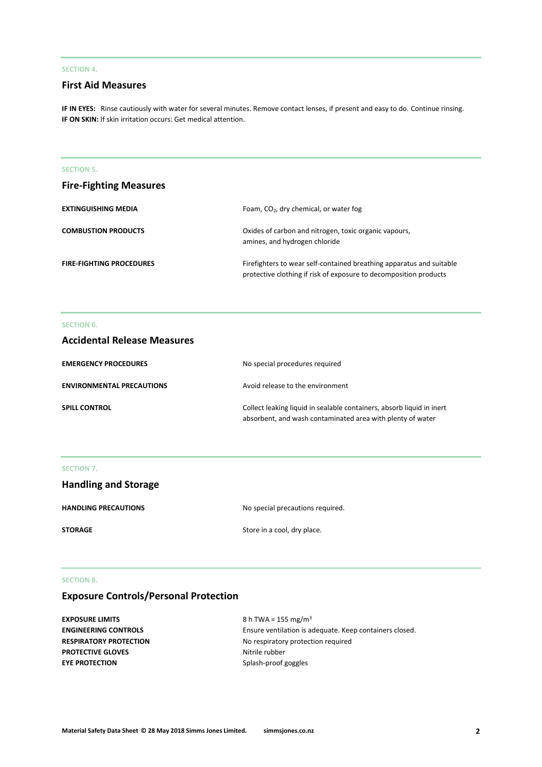## **SECTION 4.**

## **First Aid Measures**

**IF IN EYES:** Rinse cautiously with water for several minutes. Remove contact lenses, if present and easy to do. Continue rinsing. **IF ON SKIN:** If skin irritation occurs: Get medical attention.

## **SECTION 5.**

| <b>Fire-Fighting Measures</b>   |                                                                                                                                           |
|---------------------------------|-------------------------------------------------------------------------------------------------------------------------------------------|
| <b>EXTINGUISHING MEDIA</b>      | Foam, $CO2$ , dry chemical, or water fog                                                                                                  |
| <b>COMBUSTION PRODUCTS</b>      | Oxides of carbon and nitrogen, toxic organic vapours,<br>amines, and hydrogen chloride                                                    |
| <b>FIRE-FIGHTING PROCEDURES</b> | Firefighters to wear self-contained breathing apparatus and suitable<br>protective clothing if risk of exposure to decomposition products |

#### **SECTION 6.**

| <b>Accidental Release Measures</b> |                                                                                                                                     |
|------------------------------------|-------------------------------------------------------------------------------------------------------------------------------------|
| <b>EMERGENCY PROCEDURES</b>        | No special procedures required                                                                                                      |
| <b>ENVIRONMENTAL PRECAUTIONS</b>   | Avoid release to the environment                                                                                                    |
| <b>SPILL CONTROL</b>               | Collect leaking liquid in sealable containers, absorb liquid in inert<br>absorbent, and wash contaminated area with plenty of water |

## **SECTION 7.**

| <b>Handling and Storage</b> |                                  |
|-----------------------------|----------------------------------|
| <b>HANDLING PRECAUTIONS</b> | No special precautions required. |
| STORAGE                     | Store in a cool, dry place.      |

#### **SECTION 8.**

## **Exposure Controls/Personal Protection**

| EXPOSURE LIMITS               | 8 h TWA = 155 mg/m <sup>3</sup>                         |
|-------------------------------|---------------------------------------------------------|
| <b>ENGINEERING CONTROLS</b>   | Ensure ventilation is adequate. Keep containers closed. |
| <b>RESPIRATORY PROTECTION</b> | No respiratory protection required                      |
| <b>PROTECTIVE GLOVES</b>      | Nitrile rubber                                          |
| <b>EYE PROTECTION</b>         | Splash-proof goggles                                    |
|                               |                                                         |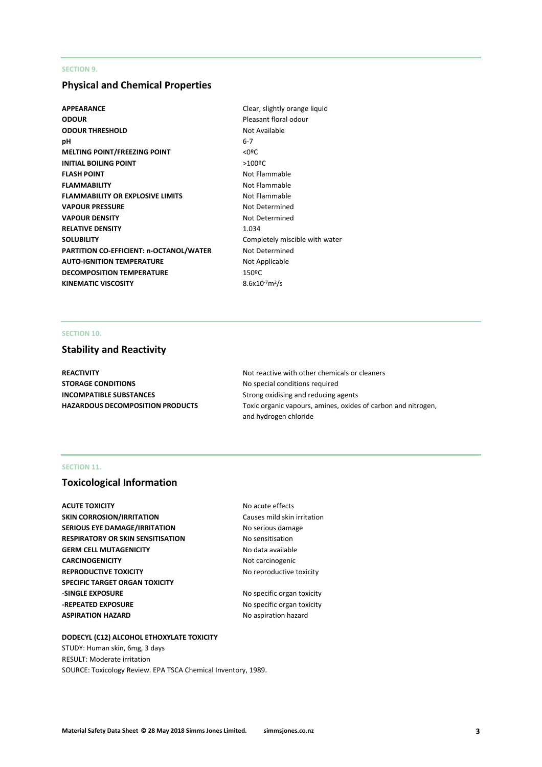#### **SECTION 9.**

## **Physical and Chemical Properties**

- APPEARANCE **Clear, slightly orange liquid ODOUR** Pleasant floral odour **ODOUR THRESHOLD** Not Available **pH** 6-7 **MELTING POINT/FREEZING POINT** <0ºC **INITIAL BOILING POINT** >100<sup>o</sup>C **FLASH POINT** Not Flammable **FLAMMABILITY** Not Flammable **FLAMMABILITY OR EXPLOSIVE LIMITS** Not Flammable **VAPOUR PRESSURE** Not Determined **VAPOUR DENSITY** Not Determined **RELATIVE DENSITY** 1.034 **SOLUBILITY** Completely miscible with water **PARTITION CO-EFFICIENT: n-OCTANOL/WATER** Not Determined **AUTO-IGNITION TEMPERATURE** Not Applicable **DECOMPOSITION TEMPERATURE** 150°C **KINEMATIC VISCOSITY**
- $8.6x10^{-7}m^2/s$

## **SECTION 10.**

#### **Stability and Reactivity**

**STORAGE CONDITIONS** No special conditions required **INCOMPATIBLE SUBSTANCES** Strong oxidising and reducing agents

**REACTIVITY Not reactive with other chemicals or cleaners Not reactive with other chemicals or cleaners HAZARDOUS DECOMPOSITION PRODUCTS** Toxic organic vapours, amines, oxides of carbon and nitrogen, and hydrogen chloride

#### **SECTION 11.**

## **Toxicological Information**

**ACUTE TOXICITY NO ACUTE TOXICITY NO ACUTE SKIN CORROSION/IRRITATION** Causes mild skin irritation **SERIOUS EYE DAMAGE/IRRITATION** No serious damage **RESPIRATORY OR SKIN SENSITISATION No sensitisation GERM CELL MUTAGENICITY** No data available **CARCINOGENICITY** Not carcinogenic **REPRODUCTIVE TOXICITY NO TERPRODUCTIVE TOXICITY NO TERM SPECIFIC TARGET ORGAN TOXICITY -SINGLE EXPOSURE** No specific organ toxicity **-REPEATED EXPOSURE** No specific organ toxicity **ASPIRATION HAZARD** No aspiration hazard

## **DODECYL (C12) ALCOHOL ETHOXYLATE TOXICITY**

STUDY: Human skin, 6mg, 3 days RESULT: Moderate irritation SOURCE: Toxicology Review. EPA TSCA Chemical Inventory, 1989.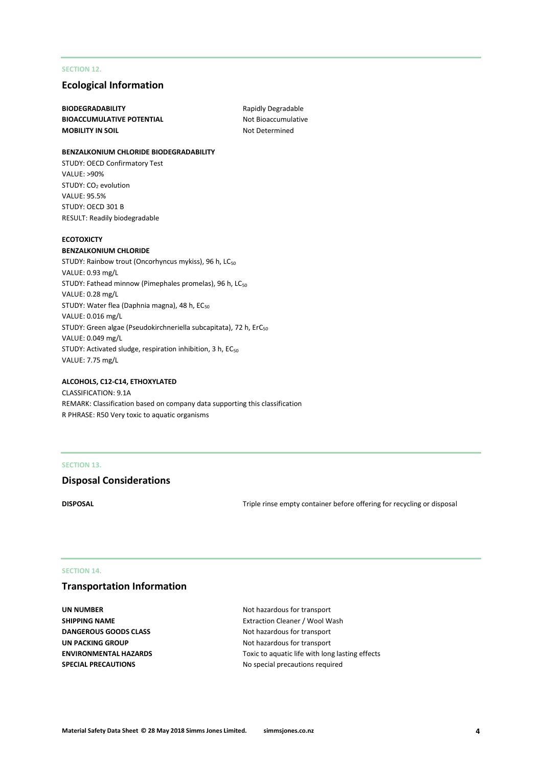#### **SECTION 12.**

## **Ecological Information**

**BIODEGRADABILITY** Rapidly Degradable **BIOACCUMULATIVE POTENTIAL** Not Bioaccumulative **MOBILITY IN SOIL** MOBILITY IN SOIL

#### **BENZALKONIUM CHLORIDE BIODEGRADABILITY**

STUDY: OECD Confirmatory Test VALUE: >90% STUDY: CO<sub>2</sub> evolution VALUE: 95.5% STUDY: OECD 301 B RESULT: Readily biodegradable

#### **ECOTOXICTY**

#### **BENZALKONIUM CHLORIDE**

STUDY: Rainbow trout (Oncorhyncus mykiss), 96 h, LC<sub>50</sub> VALUE: 0.93 mg/L STUDY: Fathead minnow (Pimephales promelas), 96 h, LC<sub>50</sub> VALUE: 0.28 mg/L STUDY: Water flea (Daphnia magna), 48 h, EC<sub>50</sub> VALUE: 0.016 mg/L STUDY: Green algae (Pseudokirchneriella subcapitata), 72 h, ErC<sub>50</sub> VALUE: 0.049 mg/L STUDY: Activated sludge, respiration inhibition, 3 h, EC<sub>50</sub> VALUE: 7.75 mg/L

#### **ALCOHOLS, C12-C14, ETHOXYLATED**

CLASSIFICATION: 9.1A REMARK: Classification based on company data supporting this classification R PHRASE: R50 Very toxic to aquatic organisms

#### **SECTION 13.**

#### **Disposal Considerations**

**DISPOSAL** DISPOSAL **Triple rinse empty container before offering for recycling or disposal** 

#### **SECTION 14.**

## **Transportation Information**

**UN NUMBER** Not hazardous for transport **DANGEROUS GOODS CLASS** Not hazardous for transport **UN PACKING GROUP** Not hazardous for transport

**SHIPPING NAME Extraction Cleaner / Wool Wash ENVIRONMENTAL HAZARDS** Toxic to aquatic life with long lasting effects **SPECIAL PRECAUTIONS** No special precautions required